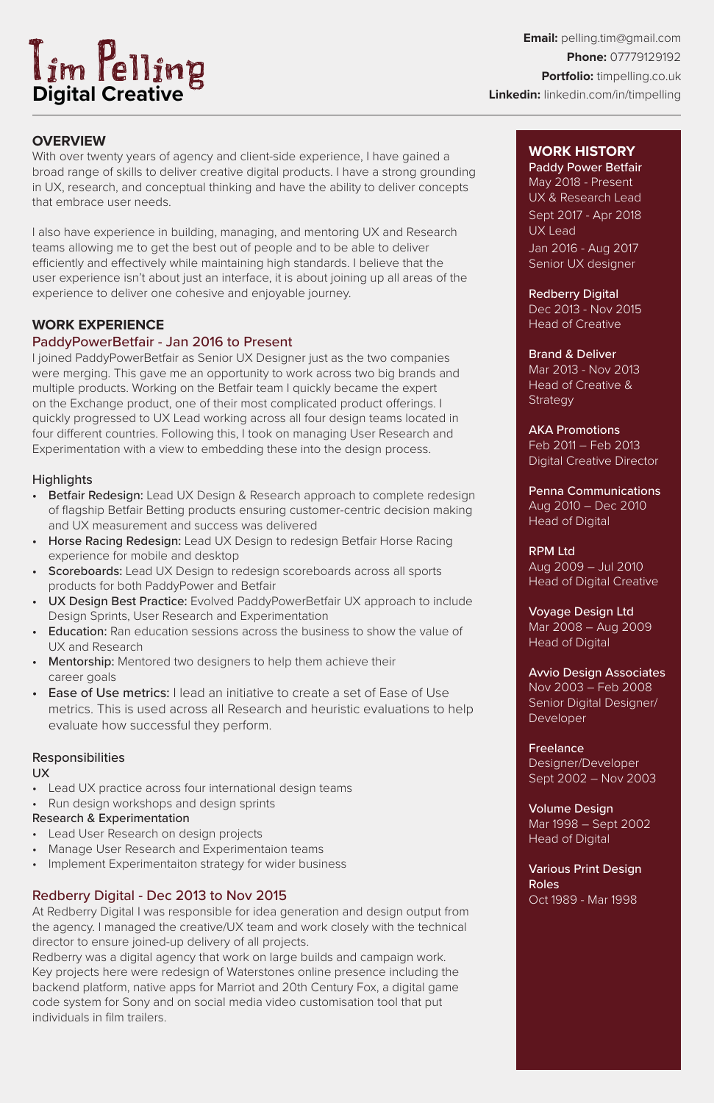**Email:** pelling.tim@gmail.com **Phone:** 07779129192 **Portfolio:** timpelling.co.uk **Linkedin:** linkedin.com/in/timpelling

# **WORK HISTORY**

Dec 2013 - Nov 2015 Head of Creative

Mar 2013 - Nov 2013 Head of Creative & **Strategy** 

Paddy Power Betfair May 2018 - Present UX & Research Lead Sept 2017 - Apr 2018 UX Lead Jan 2016 - Aug 2017 Senior UX designer

#### Redberry Digital

Avvio Design Associates Nov 2003 – Feb 2008 Senior Digital Designer/ **Developer** 

# Brand & Deliver

AKA Promotions Feb 2011 – Feb 2013 Digital Creative Director

Penna Communications Aug 2010 – Dec 2010 Head of Digital

#### RPM Ltd

Aug 2009 – Jul 2010 Head of Digital Creative

Voyage Design Ltd Mar 2008 – Aug 2009 Head of Digital

Freelance Designer/Developer Sept 2002 – Nov 2003

Volume Design

Mar 1998 – Sept 2002 Head of Digital

Various Print Design Roles Oct 1989 - Mar 1998

# **OVERVIEW**

With over twenty years of agency and client-side experience, I have gained a broad range of skills to deliver creative digital products. I have a strong grounding in UX, research, and conceptual thinking and have the ability to deliver concepts that embrace user needs.

I also have experience in building, managing, and mentoring UX and Research teams allowing me to get the best out of people and to be able to deliver efficiently and effectively while maintaining high standards. I believe that the user experience isn't about just an interface, it is about joining up all areas of the experience to deliver one cohesive and enjoyable journey.

- Betfair Redesign: Lead UX Design & Research approach to complete redesign of flagship Betfair Betting products ensuring customer-centric decision making and UX measurement and success was delivered
- **Horse Racing Redesign:** Lead UX Design to redesign Betfair Horse Racing experience for mobile and desktop
- Scoreboards: Lead UX Design to redesign scoreboards across all sports products for both PaddyPower and Betfair
- UX Design Best Practice: Evolved PaddyPowerBetfair UX approach to include Design Sprints, User Research and Experimentation
- Education: Ran education sessions across the business to show the value of UX and Research
- Mentorship: Mentored two designers to help them achieve their career goals
- **Ease of Use metrics:** I lead an initiative to create a set of Ease of Use metrics. This is used across all Research and heuristic evaluations to help evaluate how successful they perform.

# **WORK EXPERIENCE**

#### PaddyPowerBetfair - Jan 2016 to Present

- Lead User Research on design projects
- Manage User Research and Experimentaion teams
- Implement Experimentaiton strategy for wider business

I joined PaddyPowerBetfair as Senior UX Designer just as the two companies were merging. This gave me an opportunity to work across two big brands and multiple products. Working on the Betfair team I quickly became the expert on the Exchange product, one of their most complicated product offerings. I quickly progressed to UX Lead working across all four design teams located in four different countries. Following this, I took on managing User Research and Experimentation with a view to embedding these into the design process.

## **Highlights**

#### Responsibilities

UX

- Lead UX practice across four international design teams
- Run design workshops and design sprints

#### Research & Experimentation

## Redberry Digital - Dec 2013 to Nov 2015

At Redberry Digital I was responsible for idea generation and design output from the agency. I managed the creative/UX team and work closely with the technical director to ensure joined-up delivery of all projects. Redberry was a digital agency that work on large builds and campaign work. Key projects here were redesign of Waterstones online presence including the

backend platform, native apps for Marriot and 20th Century Fox, a digital game code system for Sony and on social media video customisation tool that put individuals in film trailers.

# **Digital Creative**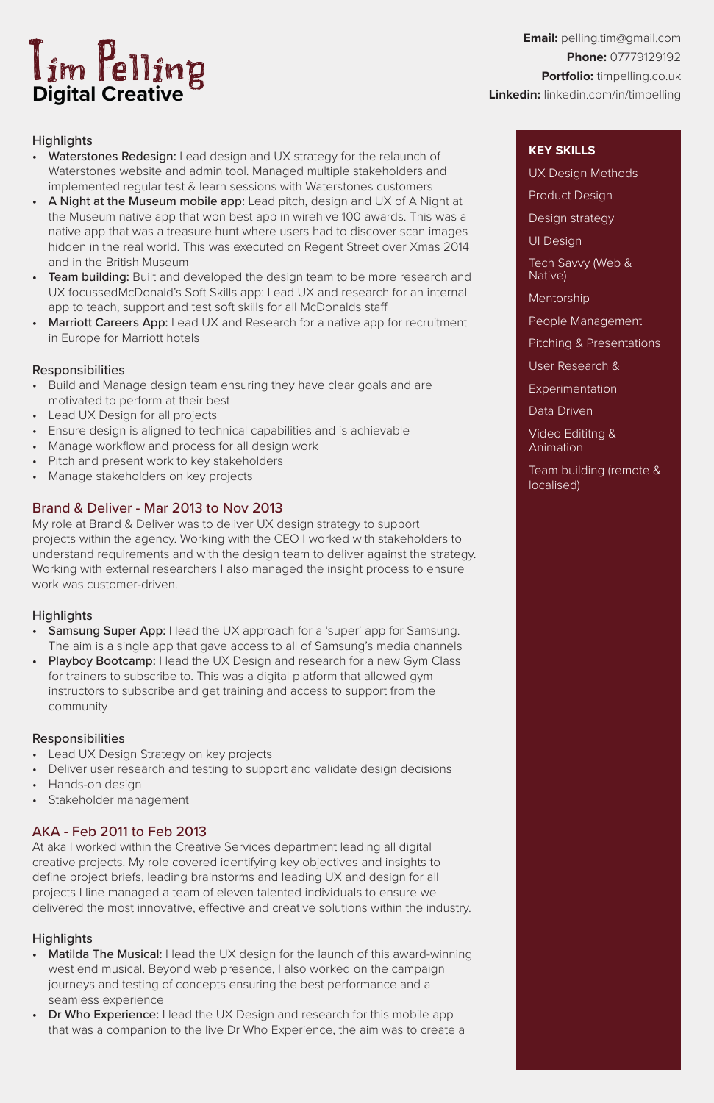**Email:** pelling.tim@gmail.com **Phone:** 07779129192 **Portfolio:** timpelling.co.uk **Linkedin:** linkedin.com/in/timpelling

# **Highlights**

- Waterstones Redesign: Lead design and UX strategy for the relaunch of Waterstones website and admin tool. Managed multiple stakeholders and implemented regular test & learn sessions with Waterstones customers
- A Night at the Museum mobile app: Lead pitch, design and UX of A Night at the Museum native app that won best app in wirehive 100 awards. This was a native app that was a treasure hunt where users had to discover scan images hidden in the real world. This was executed on Regent Street over Xmas 2014 and in the British Museum
- Team building: Built and developed the design team to be more research and UX focussedMcDonald's Soft Skills app: Lead UX and research for an internal app to teach, support and test soft skills for all McDonalds staff
- **Marriott Careers App:** Lead UX and Research for a native app for recruitment in Europe for Marriott hotels

## **Responsibilities**

- Samsung Super App: I lead the UX approach for a 'super' app for Samsung. The aim is a single app that gave access to all of Samsung's media channels
- **Playboy Bootcamp:** I lead the UX Design and research for a new Gym Class for trainers to subscribe to. This was a digital platform that allowed gym instructors to subscribe and get training and access to support from the community
- Build and Manage design team ensuring they have clear goals and are motivated to perform at their best
- Lead UX Design for all projects
- Ensure design is aligned to technical capabilities and is achievable
- Manage workflow and process for all design work
- Pitch and present work to key stakeholders
- Manage stakeholders on key projects

# Brand & Deliver - Mar 2013 to Nov 2013

My role at Brand & Deliver was to deliver UX design strategy to support projects within the agency. Working with the CEO I worked with stakeholders to understand requirements and with the design team to deliver against the strategy. Working with external researchers I also managed the insight process to ensure work was customer-driven.

## **Highlights**

- Matilda The Musical: I lead the UX design for the launch of this award-winning west end musical. Beyond web presence, I also worked on the campaign journeys and testing of concepts ensuring the best performance and a seamless experience
- Dr Who Experience: I lead the UX Design and research for this mobile app that was a companion to the live Dr Who Experience, the aim was to create a



## Responsibilities

- Lead UX Design Strategy on key projects
- Deliver user research and testing to support and validate design decisions
- Hands-on design
- Stakeholder management

## AKA - Feb 2011 to Feb 2013

At aka I worked within the Creative Services department leading all digital creative projects. My role covered identifying key objectives and insights to define project briefs, leading brainstorms and leading UX and design for all projects I line managed a team of eleven talented individuals to ensure we delivered the most innovative, effective and creative solutions within the industry.

## **Highlights**

#### **KEY SKILLS**

UX Design Methods

Product Design

Design strategy

UI Design

Tech Savvy (Web & Native)

Mentorship

People Management

Pitching & Presentations

User Research &

Experimentation

Data Driven

Video Edititng & Animation

Team building (remote & localised)

# **Digital Creative**